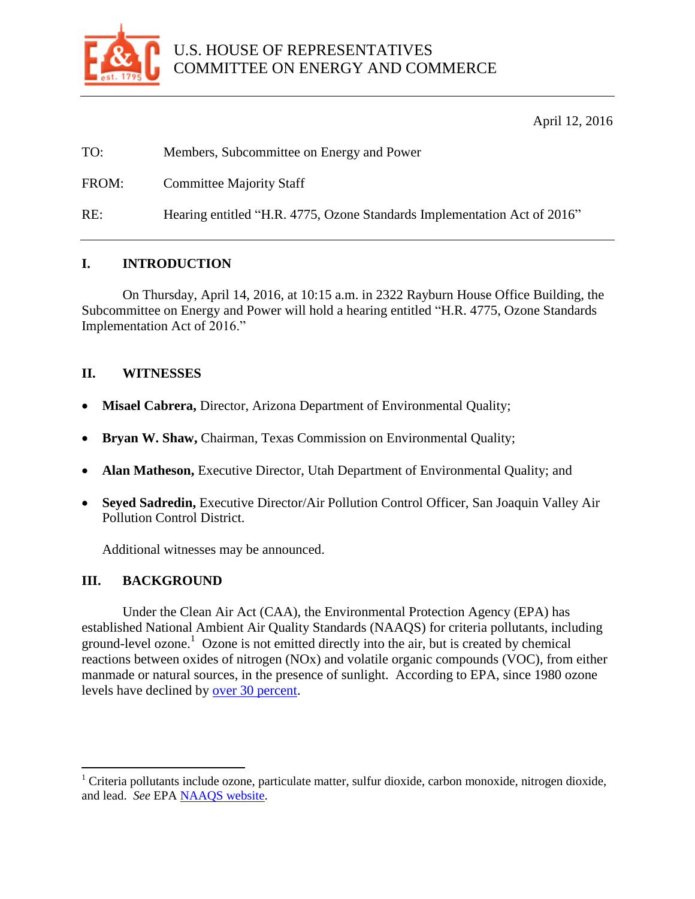

April 12, 2016

| TO:   | Members, Subcommittee on Energy and Power                                |
|-------|--------------------------------------------------------------------------|
| FROM: | <b>Committee Majority Staff</b>                                          |
| RE:   | Hearing entitled "H.R. 4775, Ozone Standards Implementation Act of 2016" |

## **I. INTRODUCTION**

On Thursday, April 14, 2016, at 10:15 a.m. in 2322 Rayburn House Office Building, the Subcommittee on Energy and Power will hold a hearing entitled "H.R. 4775, Ozone Standards Implementation Act of 2016."

### **II. WITNESSES**

- **Misael Cabrera,** Director, Arizona Department of Environmental Quality;
- **Bryan W. Shaw,** Chairman, Texas Commission on Environmental Quality;
- **Alan Matheson, Executive Director, Utah Department of Environmental Quality; and**
- **Seyed Sadredin,** Executive Director/Air Pollution Control Officer, San Joaquin Valley Air Pollution Control District.

Additional witnesses may be announced.

#### **III. BACKGROUND**

 $\overline{a}$ 

Under the Clean Air Act (CAA), the Environmental Protection Agency (EPA) has established National Ambient Air Quality Standards (NAAQS) for criteria pollutants, including ground-level ozone.<sup>1</sup> Ozone is not emitted directly into the air, but is created by chemical reactions between oxides of nitrogen (NOx) and volatile organic compounds (VOC), from either manmade or natural sources, in the presence of sunlight. According to EPA, since 1980 ozone levels have declined by [over 30 percent.](http://www.epa.gov/airtrends/aqtrends.html)

 $1$  Criteria pollutants include ozone, particulate matter, sulfur dioxide, carbon monoxide, nitrogen dioxide, and lead. *See* EP[A NAAQS website.](https://www.epa.gov/criteria-air-pollutants/naaqs-table)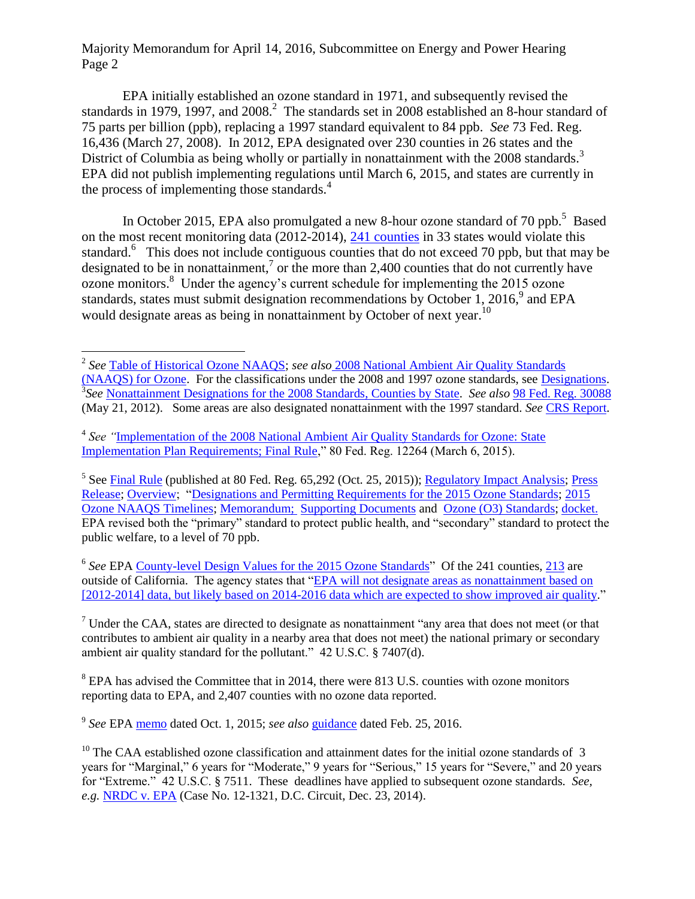EPA initially established an ozone standard in 1971, and subsequently revised the standards in 1979, 1997, and 2008.<sup>2</sup> The standards set in 2008 established an 8-hour standard of 75 parts per billion (ppb), replacing a 1997 standard equivalent to 84 ppb.*See* 73 Fed. Reg. 16,436 (March 27, 2008). In 2012, EPA designated over 230 counties in 26 states and the District of Columbia as being wholly or partially in nonattainment with the 2008 standards.<sup>3</sup> EPA did not publish implementing regulations until March 6, 2015, and states are currently in the process of implementing those standards. 4

In October 2015, EPA also promulgated a new 8-hour ozone standard of 70 ppb.<sup>5</sup> Based on the most recent monitoring data (2012-2014), [241 counties](https://www.epa.gov/sites/production/files/2016-03/documents/20151001datatable20122014.pdf) in 33 states would violate this standard.<sup>6</sup> This does not include contiguous counties that do not exceed 70 ppb, but that may be designated to be in nonattainment,<sup>7</sup> or the more than 2,400 counties that do not currently have ozone monitors. <sup>8</sup> Under the agency's current schedule for implementing the 2015 ozone standards, states must submit designation recommendations by October 1, 2016,<sup>9</sup> and EPA would designate areas as being in nonattainment by October of next year.<sup>10</sup>

 $\overline{a}$ 

<sup>5</sup> See [Final Rule](https://www.gpo.gov/fdsys/pkg/FR-2015-10-26/pdf/2015-26594.pdf) (published at 80 Fed. Reg. 65,292 (Oct. 25, 2015)); [Regulatory Impact Analysis;](https://www3.epa.gov/ttn/naaqs/standards/ozone/data/20151001ria.pdf) Press [Release;](http://yosemite.epa.gov/opa/admpress.nsf/21b8983ffa5d0e4685257dd4006b85e2/ffe8a2d2a59797b385257ed000724bf0!OpenDocument) [Overview;](https://www.epa.gov/sites/production/files/2015-10/documents/overview_of_2015_rule.pdf) ["Designations and Permitting Requirements for the 2015 Ozone Standards;](https://www.epa.gov/sites/production/files/2015-10/documents/20151001designations_permitting.pdf) [2015](https://www.epa.gov/ozone-pollution/2015-ozone-naaqs-timelines)  [Ozone NAAQS Timelines;](https://www.epa.gov/ozone-pollution/2015-ozone-naaqs-timelines) [Memorandum;](https://www.epa.gov/sites/production/files/2015-10/documents/implementation_memo.pdf) [Supporting Documents](https://www.epa.gov/ozone-pollution/2015-revision-2008-ozone-national-ambient-air-quality-standards-naaqs-supporting) and [Ozone \(O3\) Standards;](https://www3.epa.gov/ttn/naaqs/standards/ozone/s_o3_index.html) [docket.](http://www.regulations.gov/#!docketDetail;D=EPA-HQ-OAR-2008-0699) EPA revised both the "primary" standard to protect public health, and "secondary" standard to protect the public welfare, to a level of 70 ppb.

<sup>6</sup> See EPA [County-level Design Values for the 2015 Ozone Standards"](https://www.epa.gov/sites/production/files/2016-03/documents/20151001datatable20122014.pdf) Of the 241 counties, [213](https://www.epa.gov/sites/production/files/2015-10/documents/20151001_bynumbers.pdf) are outside of California. The agency states that ["EPA will not designate areas as nonattainment based on](https://www.epa.gov/sites/production/files/2016-03/documents/20151001datatable20122014.pdf)  [\[2012-2014\] data, but likely based on 2014-2016 data which are expected to show improved air quality.](https://www.epa.gov/sites/production/files/2016-03/documents/20151001datatable20122014.pdf)"

 $<sup>7</sup>$  Under the CAA, states are directed to designate as nonattainment "any area that does not meet (or that</sup> contributes to ambient air quality in a nearby area that does not meet) the national primary or secondary ambient air quality standard for the pollutant." 42 U.S.C. § 7407(d).

<sup>8</sup> EPA has advised the Committee that in 2014, there were 813 U.S. counties with ozone monitors reporting data to EPA, and 2,407 counties with no ozone data reported.

9 *See* EPA [memo](https://www.epa.gov/sites/production/files/2015-10/documents/implementation_memo.pdf) dated Oct. 1, 2015; *see also* [guidance](https://www.epa.gov/sites/production/files/2016-02/documents/ozone-designations-guidance-2015.pdf) dated Feb. 25, 2016.

<sup>2</sup> *See* [Table of Historical Ozone NAAQS;](https://www.epa.gov/ozone-pollution/table-historical-ozone-national-ambient-air-quality-standards-naaqs) *see also* [2008 National Ambient](https://www.epa.gov/ozone-pollution/2008-national-ambient-air-quality-standards-naaqs-ozone) Air Quality Standards [\(NAAQS\) for Ozone.](https://www.epa.gov/ozone-pollution/2008-national-ambient-air-quality-standards-naaqs-ozone) For the classifications under the 2008 and 1997 ozone standards, see [Designations.](https://www3.epa.gov/airquality/greenbook/define.html) 3 *See* [Nonattainment Designations for the 2008 Standards, Counties by State.](https://archive.epa.gov/ozonedesignations/web/html/finaldes.html) *See also* [98 Fed. Reg. 30088](https://www.gpo.gov/fdsys/pkg/FR-2012-05-21/pdf/2012-11618.pdf) (May 21, 2012). Some areas are also designated nonattainment with the 1997 standard. *See* [CRS Report.](https://fas.org/sgp/crs/misc/R43092.pdf)

 4 *See "*[Implementation of the 2008 National Ambient Air Quality Standards for Ozone: State](https://www.gpo.gov/fdsys/pkg/FR-2015-03-06/pdf/2015-04012.pdf)  [Implementation Plan Requirements; Final Rule,](https://www.gpo.gov/fdsys/pkg/FR-2015-03-06/pdf/2015-04012.pdf)" 80 Fed. Reg. 12264 (March 6, 2015).

 $10$  The CAA established ozone classification and attainment dates for the initial ozone standards of 3 years for "Marginal," 6 years for "Moderate," 9 years for "Serious," 15 years for "Severe," and 20 years for "Extreme." 42 U.S.C. § 7511. These deadlines have applied to subsequent ozone standards. *See, e.g.* [NRDC v. EPA](https://www.cadc.uscourts.gov/internet/opinions.nsf/E97A64FFBFE4DC1D85257DB70054D5EE/$file/12-1321-1528834.pdf) (Case No. 12-1321, D.C. Circuit, Dec. 23, 2014).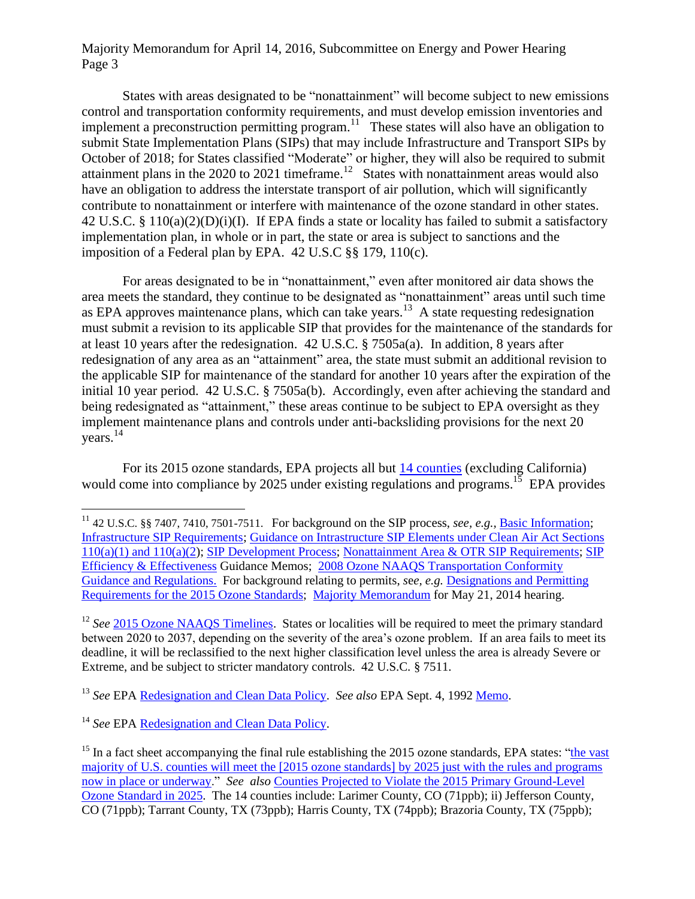States with areas designated to be "nonattainment" will become subject to new emissions control and transportation conformity requirements, and must develop emission inventories and implement a preconstruction permitting program.<sup>11</sup> These states will also have an obligation to submit State Implementation Plans (SIPs) that may include Infrastructure and Transport SIPs by October of 2018; for States classified "Moderate" or higher, they will also be required to submit attainment plans in the 2020 to 2021 timeframe.<sup>12</sup> States with nonattainment areas would also have an obligation to address the interstate transport of air pollution, which will significantly contribute to nonattainment or interfere with maintenance of the ozone standard in other states. 42 U.S.C. § 110(a)(2)(D)(i)(I). If EPA finds a state or locality has failed to submit a satisfactory implementation plan, in whole or in part, the state or area is subject to sanctions and the imposition of a Federal plan by EPA. 42 U.S.C §§ 179, 110(c).

For areas designated to be in "nonattainment," even after monitored air data shows the area meets the standard, they continue to be designated as "nonattainment" areas until such time as EPA approves maintenance plans, which can take years.<sup>13</sup> A state requesting redesignation must submit a revision to its applicable SIP that provides for the maintenance of the standards for at least 10 years after the redesignation. 42 U.S.C. § 7505a(a). In addition, 8 years after redesignation of any area as an "attainment" area, the state must submit an additional revision to the applicable SIP for maintenance of the standard for another 10 years after the expiration of the initial 10 year period. 42 U.S.C. § 7505a(b). Accordingly, even after achieving the standard and being redesignated as "attainment," these areas continue to be subject to EPA oversight as they implement maintenance plans and controls under anti-backsliding provisions for the next 20 years. 14

For its 2015 ozone standards, EPA projects all but [14 counties](https://www.epa.gov/sites/production/files/2015-10/documents/20151001_bynumbers.pdf) (excluding California) would come into compliance by 2025 under existing regulations and programs.<sup>15</sup> EPA provides

<sup>13</sup> *See* EPA [Redesignation and Clean Data Policy.](https://www.epa.gov/ozone-pollution/redesignation-and-clean-data-policy-cdp) *See also* EPA Sept. 4, 1992 [Memo.](https://www.epa.gov/sites/production/files/2016-03/documents/calcagni_memo_-_procedures_for_processing_requests_to_redesignate_areas_to_attainment_090492.pdf)

 $\overline{a}$ 

<sup>&</sup>lt;sup>11</sup> 42 U.S.C. §§ 7407, 7410, 7501-7511. For background on the SIP process, *see, e.g.*, **Basic Information**; [Infrastructure SIP Requirements;](https://www3.epa.gov/airquality/urbanair/sipstatus/infrastructure.html) [Guidance on Intrastructure SIP Elements under Clean Air Act Sections](https://www3.epa.gov/airquality/urbanair/sipstatus/docs/Guidance_on_Infrastructure_SIP_Elements_Multipollutant_FINAL_Sept_2013.pdf)  [110\(a\)\(1\) and 110\(a\)\(2\)](https://www3.epa.gov/airquality/urbanair/sipstatus/docs/Guidance_on_Infrastructure_SIP_Elements_Multipollutant_FINAL_Sept_2013.pdf); [SIP Development Process;](https://www3.epa.gov/airquality/urbanair/sipstatus/process.html) [Nonattainment Area & OTR SIP Requirements;](https://www3.epa.gov/airquality/urbanair/sipstatus/nonattainment.html) [SIP](https://www3.epa.gov/airquality/urbanair/sipstatus/efficiency.html)  [Efficiency & Effectiveness](https://www3.epa.gov/airquality/urbanair/sipstatus/efficiency.html) Guidance Memos; [2008 Ozone NAAQS Transportation Conformity](https://www3.epa.gov/otaq/stateresources/transconf/2008naaqs.htm)  [Guidance and Regulations.](https://www3.epa.gov/otaq/stateresources/transconf/2008naaqs.htm) For background relating to permits, *s*e*e, e.g.* [Designations and Permitting](https://www.epa.gov/sites/production/files/2015-10/documents/20151001designations_permitting.pdf)  [Requirements for the 2015 Ozone Standards;](https://www.epa.gov/sites/production/files/2015-10/documents/20151001designations_permitting.pdf) [Majority Memorandum](http://docs.house.gov/meetings/IF/IF03/20140521/102241/HHRG-113-IF03-20140521-SD002.pdf) for May 21, 2014 hearing.

<sup>&</sup>lt;sup>12</sup> See [2015 Ozone NAAQS Timelines.](https://www.epa.gov/ozone-pollution/2015-ozone-naaqs-timelines) States or localities will be required to meet the primary standard between 2020 to 2037, depending on the severity of the area's ozone problem. If an area fails to meet its deadline, it will be reclassified to the next higher classification level unless the area is already Severe or Extreme, and be subject to stricter mandatory controls. 42 U.S.C. § 7511.

<sup>&</sup>lt;sup>14</sup> *See* EPA [Redesignation and Clean Data Policy.](https://www.epa.gov/ozone-pollution/redesignation-and-clean-data-policy-cdp)

<sup>&</sup>lt;sup>15</sup> In a fact sheet accompanying the final rule establishing the 2015 ozone standards, EPA states: "the vast [majority of U.S. counties will meet the \[2015 ozone standards\] by 2025 just with the rules and programs](https://www.epa.gov/sites/production/files/2015-10/documents/20151001designations_permitting.pdf)  [now in place or underway.](https://www.epa.gov/sites/production/files/2015-10/documents/20151001designations_permitting.pdf)" *See also* [Counties Projected to Violate the 2015 Primary Ground-Level](https://www.epa.gov/sites/production/files/2016-03/documents/20151001datatable2025.pdf)  [Ozone Standard in 2025.](https://www.epa.gov/sites/production/files/2016-03/documents/20151001datatable2025.pdf) The 14 counties include: Larimer County, CO (71ppb); ii) Jefferson County, CO (71ppb); Tarrant County, TX (73ppb); Harris County, TX (74ppb); Brazoria County, TX (75ppb);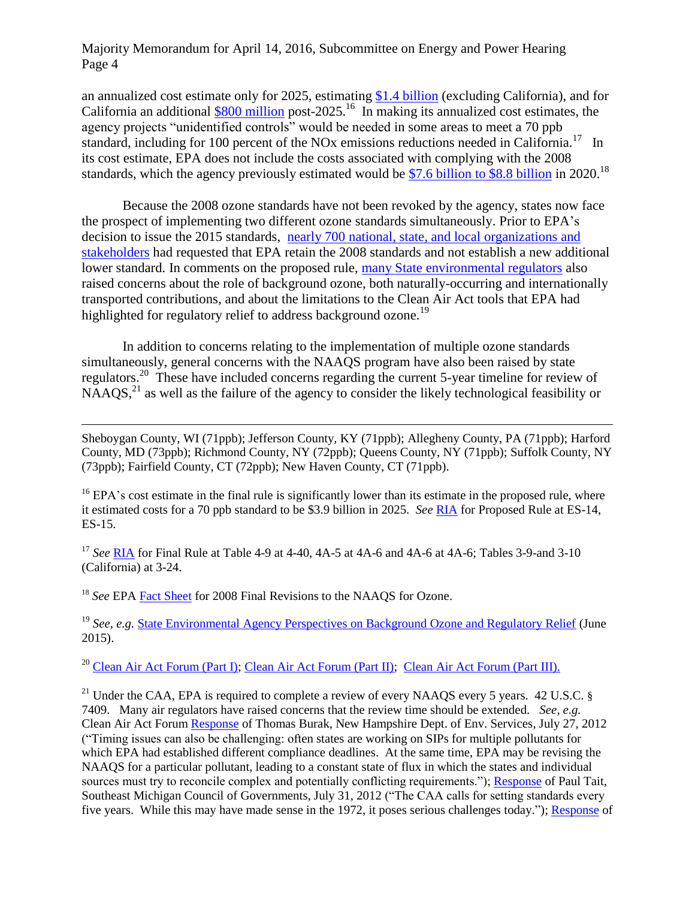an annualized cost estimate only for 2025, estimating [\\$1.4 billion](http://yosemite.epa.gov/opa/admpress.nsf/21b8983ffa5d0e4685257dd4006b85e2/ffe8a2d2a59797b385257ed000724bf0!OpenDocument) (excluding California), and for California an additional  $$800$  million post-2025.<sup>16</sup> In making its annualized cost estimates, the agency projects "unidentified controls" would be needed in some areas to meet a 70 ppb standard, including for 100 percent of the NOx emissions reductions needed in California.<sup>17</sup> In its cost estimate, EPA does not include the costs associated with complying with the 2008 standards, which the agency previously estimated would be [\\$7.6 billion to \\$8.8 billion](https://www.epa.gov/sites/production/files/2015-08/documents/ozone_fact_sheet.pdf) in 2020.<sup>18</sup>

Because the 2008 ozone standards have not been revoked by the agency, states now face the prospect of implementing two different ozone standards simultaneously. Prior to EPA's decision to issue the 2015 standards, nearly 700 national, state, [and local organizations and](https://energycommerce.house.gov/sites/republicans.energycommerce.house.gov/files/114/Letters/20150729WHUpdated.pdf)  [stakeholders](https://energycommerce.house.gov/sites/republicans.energycommerce.house.gov/files/114/Letters/20150729WHUpdated.pdf) had requested that EPA retain the 2008 standards and not establish a new additional lower standard. In comments on the proposed rule, [many State environmental regulators](http://www.csg.org/aapca_site/documents/AAPCASurvey-StateEnvironmentalAgencyPerspectivesonBackgroundOzoneandRegulatoryRelief-June201.pdf) also raised concerns about the role of background ozone, both naturally-occurring and internationally transported contributions, and about the limitations to the Clean Air Act tools that EPA had highlighted for regulatory relief to address background ozone.<sup>19</sup>

In addition to concerns relating to the implementation of multiple ozone standards simultaneously, general concerns with the NAAQS program have also been raised by state regulators.<sup>20</sup> These have included concerns regarding the current 5-year timeline for review of  $NAAOS<sub>1</sub><sup>21</sup>$  as well as the failure of the agency to consider the likely technological feasibility or

Sheboygan County, WI (71ppb); Jefferson County, KY (71ppb); Allegheny County, PA (71ppb); Harford County, MD (73ppb); Richmond County, NY (72ppb); Queens County, NY (71ppb); Suffolk County, NY (73ppb); Fairfield County, CT (72ppb); New Haven County, CT (71ppb).

<sup>16</sup> EPA's cost estimate in the final rule is significantly lower than its estimate in the proposed rule, where it estimated costs for a 70 ppb standard to be \$3.9 billion in 2025. *See* [RIA](https://www3.epa.gov/ttn/ecas/regdata/RIAs/20141125ria.pdf) for Proposed Rule at ES-14, ES-15.

<sup>17</sup> *See* [RIA](https://www.regulations.gov/#!documentDetail;D=EPA-HQ-OAR-2013-0169-0057) for Final Rule at Table 4-9 at 4-40, 4A-5 at 4A-6 and 4A-6 at 4A-6; Tables 3-9-and 3-10 (California) at 3-24.

<sup>18</sup> *See* EPA [Fact Sheet](https://www.epa.gov/sites/production/files/2015-08/documents/ozone_fact_sheet.pdf) for 2008 Final Revisions to the NAAOS for Ozone.

 $\overline{a}$ 

<sup>19</sup> See, e.g. **[State Environmental Agency Perspectives on Background Ozone and Regulatory Relief](http://www.csg.org/aapca_site/documents/AAPCASurvey-StateEnvironmentalAgencyPerspectivesonBackgroundOzoneandRegulatoryRelief-June201.pdf) (June** 2015).

<sup>20</sup> [Clean Air Act Forum \(Part I\);](https://energycommerce.house.gov/hearings-and-votes/event/clean-air-act-forum-part-i) [Clean Air Act Forum \(Part II\);](https://energycommerce.house.gov/hearings-and-votes/event/clean-air-act-forum-part-iii) [Clean Air Act Forum \(Part III\).](https://energycommerce.house.gov/hearings-and-votes/event/clean-air-act-forum-part-iii)

<sup>21</sup> Under the CAA, EPA is required to complete a review of every NAAOS every 5 years. 42 U.S.C. § 7409. Many air regulators have raised concerns that the review time should be extended. *See, e.g.*  Clean Air Act Forum [Response](https://energycommerce.house.gov/sites/republicans.energycommerce.house.gov/files/analysis/CAAforum/20120731/Burack.pdf) of Thomas Burak, New Hampshire Dept. of Env. Services, July 27, 2012 ("Timing issues can also be challenging: often states are working on SIPs for multiple pollutants for which EPA had established different compliance deadlines. At the same time, EPA may be revising the NAAQS for a particular pollutant, leading to a constant state of flux in which the states and individual sources must try to reconcile complex and potentially conflicting requirements."); [Response](https://energycommerce.house.gov/sites/republicans.energycommerce.house.gov/files/analysis/CAAforum/20120731/Tait.pdf) of Paul Tait, Southeast Michigan Council of Governments, July 31, 2012 ("The CAA calls for setting standards every five years. While this may have made sense in the 1972, it poses serious challenges today."); [Response](https://energycommerce.house.gov/sites/republicans.energycommerce.house.gov/files/analysis/CAAforum/20120731/Marks.pdf) of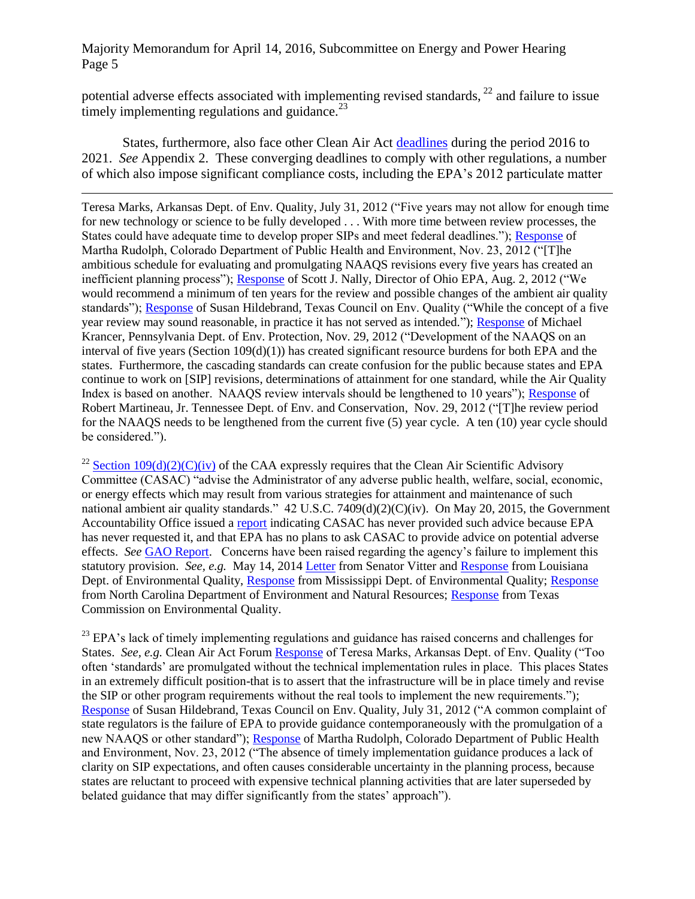potential adverse effects associated with implementing revised standards,  $^{22}$  and failure to issue timely implementing regulations and guidance. $^{23}$ 

States, furthermore, also face other Clean Air Act [deadlines](http://www.csg.org/aapca_site/documents/aapca-deadlines-update-april-2016.pdf) during the period 2016 to 2021. *See* Appendix 2. These converging deadlines to comply with other regulations, a number of which also impose significant compliance costs, including the EPA's 2012 particulate matter

 $\overline{a}$ Teresa Marks, Arkansas Dept. of Env. Quality, July 31, 2012 ("Five years may not allow for enough time for new technology or science to be fully developed . . . With more time between review processes, the States could have adequate time to develop proper SIPs and meet federal deadlines."); [Response](https://energycommerce.house.gov/sites/republicans.energycommerce.house.gov/files/analysis/CAAforum/20121129/Rudolph.pdf) of Martha Rudolph, Colorado Department of Public Health and Environment, Nov. 23, 2012 ("[T]he ambitious schedule for evaluating and promulgating NAAQS revisions every five years has created an inefficient planning process"); [Response](https://energycommerce.house.gov/sites/republicans.energycommerce.house.gov/files/analysis/CAAforum/20120802/Nally.pdf) of Scott J. Nally, Director of Ohio EPA, Aug. 2, 2012 ("We would recommend a minimum of ten years for the review and possible changes of the ambient air quality standards"); [Response](https://energycommerce.house.gov/sites/republicans.energycommerce.house.gov/files/analysis/CAAforum/20120802/Hildebrand.pdf) of Susan Hildebrand, Texas Council on Env. Quality ("While the concept of a five year review may sound reasonable, in practice it has not served as intended."); [Response](https://energycommerce.house.gov/sites/republicans.energycommerce.house.gov/files/analysis/CAAforum/20121129/Krancer.pdf) of Michael Krancer, Pennsylvania Dept. of Env. Protection, Nov. 29, 2012 ("Development of the NAAQS on an interval of five years (Section  $109(d)(1)$ ) has created significant resource burdens for both EPA and the states. Furthermore, the cascading standards can create confusion for the public because states and EPA continue to work on [SIP] revisions, determinations of attainment for one standard, while the Air Quality Index is based on another. NAAQS review intervals should be lengthened to 10 years"); [Response](https://energycommerce.house.gov/sites/republicans.energycommerce.house.gov/files/analysis/CAAforum/20121129/Martineau.pdf) of Robert Martineau, Jr. Tennessee Dept. of Env. and Conservation, Nov. 29, 2012 ("[T]he review period for the NAAQS needs to be lengthened from the current five (5) year cycle. A ten (10) year cycle should be considered.").

<sup>22</sup> Section  $109(d)(2)(C)(iv)$  of the CAA expressly requires that the Clean Air Scientific Advisory Committee (CASAC) "advise the Administrator of any adverse public health, welfare, social, economic, or energy effects which may result from various strategies for attainment and maintenance of such national ambient air quality standards." 42 U.S.C. 7409(d)(2)(C)(iv). On May 20, 2015, the Government Accountability Office issued a [report](http://gao.gov/assets/680/670288.pdf) indicating CASAC has never provided such advice because EPA has never requested it, and that EPA has no plans to ask CASAC to provide advice on potential adverse effects. *See* [GAO Report.](http://gao.gov/assets/680/670288.pdf) Concerns have been raised regarding the agency's failure to implement this statutory provision. *See, e.g.* May 14, 2014 [Letter](https://web.archive.org/web/20141208042421/http:/www.epw.senate.gov/public/index.cfm?FuseAction=Files.View&FileStore_id=999cb305-9457-4fdd-a918-aebf11658e14) from Senator Vitter and [Response](https://web.archive.org/web/20150110124050/http:/www.epw.senate.gov/public/index.cfm?FuseAction=Files.View&FileStore_id=78659f58-83aa-4c06-9832-86d90efb0b7d) from Louisiana Dept. of Environmental Quality, [Response](https://web.archive.org/web/20150110133105/http:/www.epw.senate.gov/public/index.cfm?FuseAction=Files.View&FileStore_id=0ba945cc-f16f-4e95-ab47-8427c20a9f94) from Mississippi Dept. of Environmental Quality; Response from North Carolina Department of Environment and Natural Resources; [Response](https://web.archive.org/web/20150110123616/http:/www.epw.senate.gov/public/index.cfm?FuseAction=Files.View&FileStore_id=e3c917db-ccf9-4c22-8d8b-d783458fd5fe) from Texas Commission on Environmental Quality.

 $^{23}$  EPA's lack of timely implementing regulations and guidance has raised concerns and challenges for States. *See, e.g.* Clean Air Act Forum [Response](https://energycommerce.house.gov/sites/republicans.energycommerce.house.gov/files/analysis/CAAforum/20120731/Marks.pdf) of Teresa Marks, Arkansas Dept. of Env. Quality ("Too often 'standards' are promulgated without the technical implementation rules in place. This places States in an extremely difficult position-that is to assert that the infrastructure will be in place timely and revise the SIP or other program requirements without the real tools to implement the new requirements."); [Response](https://energycommerce.house.gov/sites/republicans.energycommerce.house.gov/files/analysis/CAAforum/20120802/Hildebrand.pdf) of Susan Hildebrand, Texas Council on Env. Quality, July 31, 2012 ("A common complaint of state regulators is the failure of EPA to provide guidance contemporaneously with the promulgation of a new NAAQS or other standard"); [Response](https://energycommerce.house.gov/sites/republicans.energycommerce.house.gov/files/analysis/CAAforum/20121129/Rudolph.pdf) of Martha Rudolph, Colorado Department of Public Health and Environment, Nov. 23, 2012 ("The absence of timely implementation guidance produces a lack of clarity on SIP expectations, and often causes considerable uncertainty in the planning process, because states are reluctant to proceed with expensive technical planning activities that are later superseded by belated guidance that may differ significantly from the states' approach").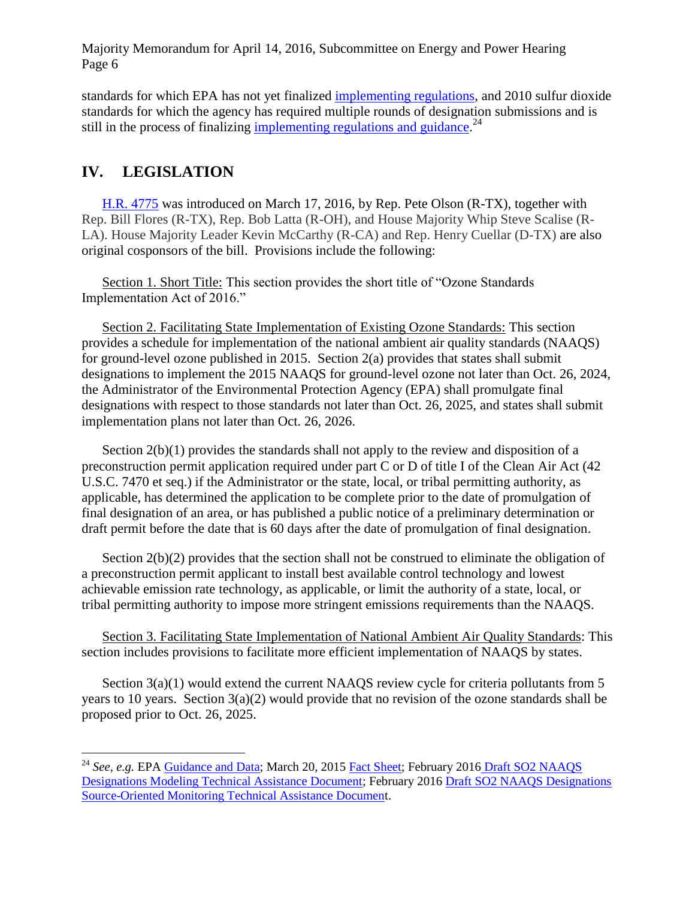standards for which EPA has not yet finalized [implementing regulations,](https://www3.epa.gov/pm/actions.html) and 2010 sulfur dioxide standards for which the agency has required multiple rounds of designation submissions and is still in the process of finalizing [implementing regulations and guidance.](https://www3.epa.gov/airquality/sulfurdioxide/implement.html#establishes)<sup>24</sup>

## **IV. LEGISLATION**

 $\overline{a}$ 

[H.R. 4775](http://docs.house.gov/meetings/IF/IF03/20160414/104778/BILLS-1144775ih.pdf) was introduced on March 17, 2016, by Rep. Pete Olson (R-TX), together with Rep. Bill Flores (R-TX), Rep. Bob Latta (R-OH), and House Majority Whip Steve Scalise (R-LA). House Majority Leader Kevin McCarthy (R-CA) and Rep. Henry Cuellar (D-TX) are also original cosponsors of the bill. Provisions include the following:

Section 1. Short Title: This section provides the short title of "Ozone Standards Implementation Act of 2016."

Section 2. Facilitating State Implementation of Existing Ozone Standards: This section provides a schedule for implementation of the national ambient air quality standards (NAAQS) for ground-level ozone published in 2015. Section 2(a) provides that states shall submit designations to implement the 2015 NAAQS for ground-level ozone not later than Oct. 26, 2024, the Administrator of the Environmental Protection Agency (EPA) shall promulgate final designations with respect to those standards not later than Oct. 26, 2025, and states shall submit implementation plans not later than Oct. 26, 2026.

Section 2(b)(1) provides the standards shall not apply to the review and disposition of a preconstruction permit application required under part C or D of title I of the Clean Air Act (42 U.S.C. 7470 et seq.) if the Administrator or the state, local, or tribal permitting authority, as applicable, has determined the application to be complete prior to the date of promulgation of final designation of an area, or has published a public notice of a preliminary determination or draft permit before the date that is 60 days after the date of promulgation of final designation.

Section 2(b)(2) provides that the section shall not be construed to eliminate the obligation of a preconstruction permit applicant to install best available control technology and lowest achievable emission rate technology, as applicable, or limit the authority of a state, local, or tribal permitting authority to impose more stringent emissions requirements than the NAAQS.

Section 3. Facilitating State Implementation of National Ambient Air Quality Standards: This section includes provisions to facilitate more efficient implementation of NAAQS by states.

Section  $3(a)(1)$  would extend the current NAAQS review cycle for criteria pollutants from 5 years to 10 years. Section 3(a)(2) would provide that no revision of the ozone standards shall be proposed prior to Oct. 26, 2025.

<sup>&</sup>lt;sup>24</sup> See, e.g. EP[A Guidance and Data;](https://www3.epa.gov/airquality/sulfurdioxide/designations/data.html) March 20, 2015 [Fact Sheet;](https://www3.epa.gov/airquality/sulfurdioxide/designations/pdfs/fs-status-next-steps-SO2-designations.pdf) February 2016 Draft SO2 NAAQS [Designations Modeling Technical Assistance Document;](https://www3.epa.gov/airquality/sulfurdioxide/pdfs/SO2ModelingTAD.pdf) February 2016 [Draft SO2 NAAQS Designations](https://www3.epa.gov/airquality/sulfurdioxide/pdfs/SO2MonitoringTAD.pdf)  [Source-Oriented Monitoring Technical Assistance Document](https://www3.epa.gov/airquality/sulfurdioxide/pdfs/SO2MonitoringTAD.pdf).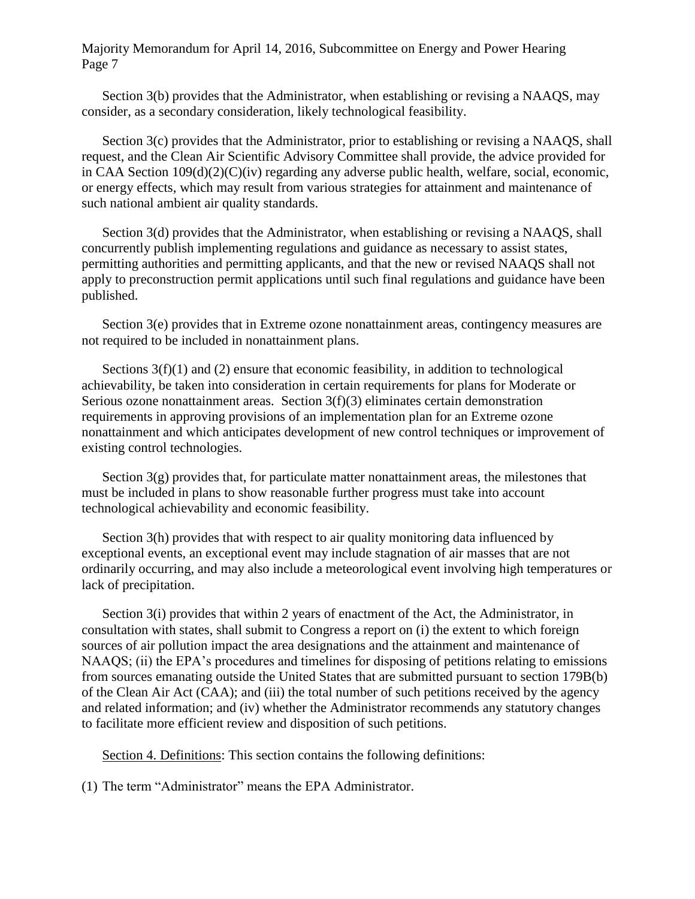Section 3(b) provides that the Administrator, when establishing or revising a NAAQS, may consider, as a secondary consideration, likely technological feasibility.

Section 3(c) provides that the Administrator, prior to establishing or revising a NAAOS, shall request, and the Clean Air Scientific Advisory Committee shall provide, the advice provided for in CAA Section 109(d)(2)(C)(iv) regarding any adverse public health, welfare, social, economic, or energy effects, which may result from various strategies for attainment and maintenance of such national ambient air quality standards.

Section 3(d) provides that the Administrator, when establishing or revising a NAAOS, shall concurrently publish implementing regulations and guidance as necessary to assist states, permitting authorities and permitting applicants, and that the new or revised NAAQS shall not apply to preconstruction permit applications until such final regulations and guidance have been published.

Section 3(e) provides that in Extreme ozone nonattainment areas, contingency measures are not required to be included in nonattainment plans.

Sections  $3(f)(1)$  and (2) ensure that economic feasibility, in addition to technological achievability, be taken into consideration in certain requirements for plans for Moderate or Serious ozone nonattainment areas. Section 3(f)(3) eliminates certain demonstration requirements in approving provisions of an implementation plan for an Extreme ozone nonattainment and which anticipates development of new control techniques or improvement of existing control technologies.

Section  $3(g)$  provides that, for particulate matter nonattainment areas, the milestones that must be included in plans to show reasonable further progress must take into account technological achievability and economic feasibility.

Section 3(h) provides that with respect to air quality monitoring data influenced by exceptional events, an exceptional event may include stagnation of air masses that are not ordinarily occurring, and may also include a meteorological event involving high temperatures or lack of precipitation.

Section 3(i) provides that within 2 years of enactment of the Act, the Administrator, in consultation with states, shall submit to Congress a report on (i) the extent to which foreign sources of air pollution impact the area designations and the attainment and maintenance of NAAQS; (ii) the EPA's procedures and timelines for disposing of petitions relating to emissions from sources emanating outside the United States that are submitted pursuant to section 179B(b) of the Clean Air Act (CAA); and (iii) the total number of such petitions received by the agency and related information; and (iv) whether the Administrator recommends any statutory changes to facilitate more efficient review and disposition of such petitions.

Section 4. Definitions: This section contains the following definitions:

(1) The term "Administrator" means the EPA Administrator.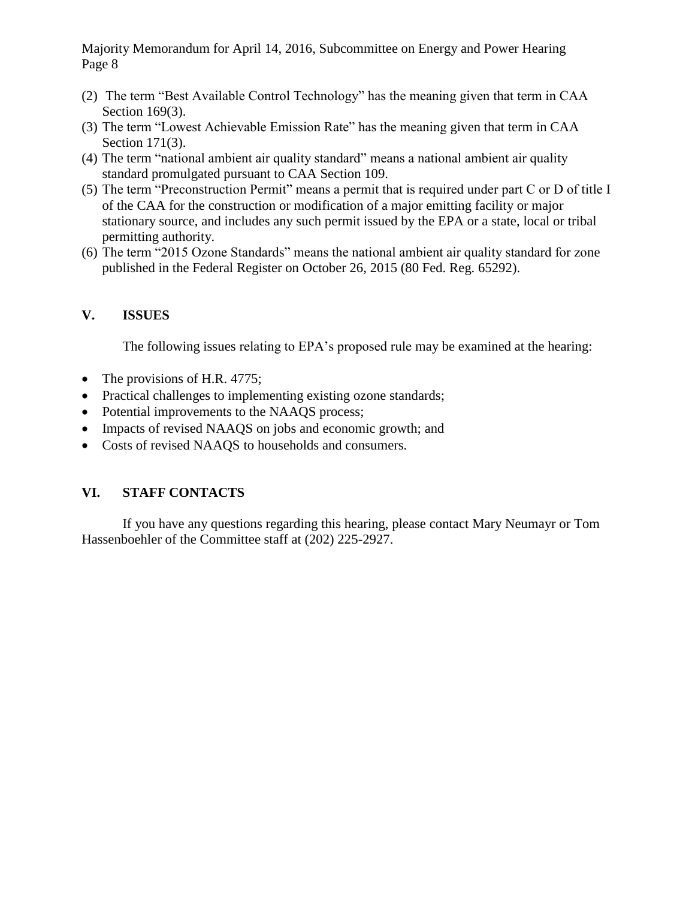- (2) The term "Best Available Control Technology" has the meaning given that term in CAA Section 169(3).
- (3) The term "Lowest Achievable Emission Rate" has the meaning given that term in CAA Section 171(3).
- (4) The term "national ambient air quality standard" means a national ambient air quality standard promulgated pursuant to CAA Section 109.
- (5) The term "Preconstruction Permit" means a permit that is required under part C or D of title I of the CAA for the construction or modification of a major emitting facility or major stationary source, and includes any such permit issued by the EPA or a state, local or tribal permitting authority.
- (6) The term "2015 Ozone Standards" means the national ambient air quality standard for zone published in the Federal Register on October 26, 2015 (80 Fed. Reg. 65292).

## **V. ISSUES**

The following issues relating to EPA's proposed rule may be examined at the hearing:

- The provisions of H.R. 4775;
- Practical challenges to implementing existing ozone standards;
- Potential improvements to the NAAQS process;
- Impacts of revised NAAQS on jobs and economic growth; and
- Costs of revised NAAQS to households and consumers.

## **VI. STAFF CONTACTS**

If you have any questions regarding this hearing, please contact Mary Neumayr or Tom Hassenboehler of the Committee staff at (202) 225-2927.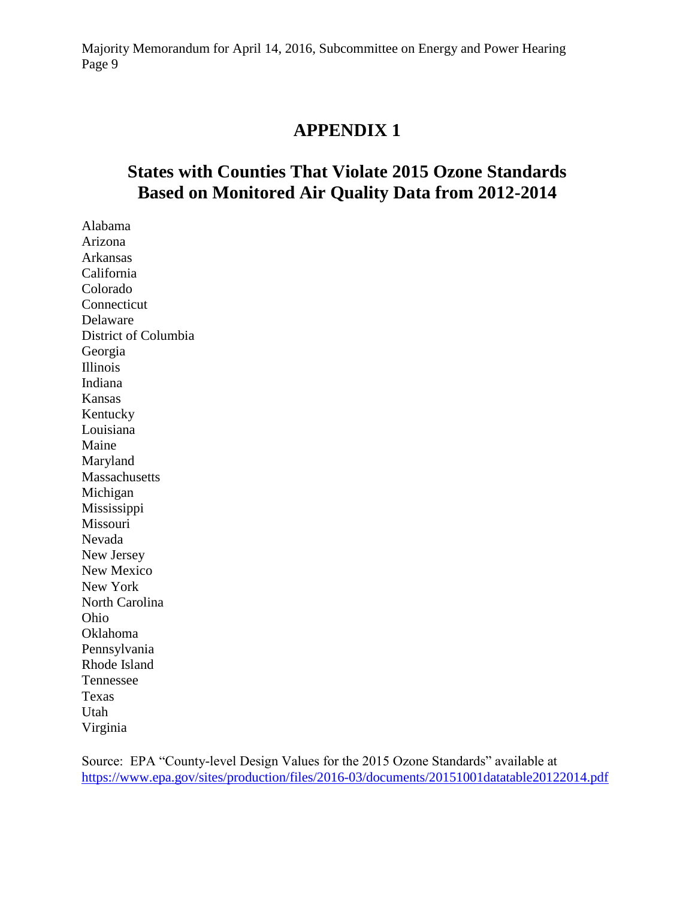## **APPENDIX 1**

# **States with Counties That Violate 2015 Ozone Standards Based on Monitored Air Quality Data from 2012-2014**

Alabama Arizona Arkansas California Colorado Connecticut Delaware District of Columbia Georgia Illinois Indiana Kansas Kentucky Louisiana Maine Maryland Massachusetts Michigan Mississippi Missouri Nevada New Jersey New Mexico New York North Carolina Ohio Oklahoma Pennsylvania Rhode Island Tennessee Texas Utah Virginia

Source: EPA "County-level Design Values for the 2015 Ozone Standards" available at <https://www.epa.gov/sites/production/files/2016-03/documents/20151001datatable20122014.pdf>